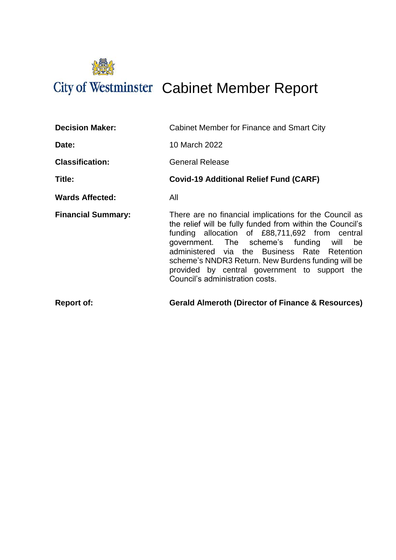

# City of Westminster Cabinet Member Report

| <b>Report of:</b>         | <b>Gerald Almeroth (Director of Finance &amp; Resources)</b>                                                                                                                                                                                                                                                                                                                                                |
|---------------------------|-------------------------------------------------------------------------------------------------------------------------------------------------------------------------------------------------------------------------------------------------------------------------------------------------------------------------------------------------------------------------------------------------------------|
| <b>Financial Summary:</b> | There are no financial implications for the Council as<br>the relief will be fully funded from within the Council's<br>funding allocation of £88,711,692 from central<br>government. The scheme's funding will be<br>administered via the Business Rate Retention<br>scheme's NNDR3 Return. New Burdens funding will be<br>provided by central government to support the<br>Council's administration costs. |
| <b>Wards Affected:</b>    | All                                                                                                                                                                                                                                                                                                                                                                                                         |
| Title:                    | <b>Covid-19 Additional Relief Fund (CARF)</b>                                                                                                                                                                                                                                                                                                                                                               |
| <b>Classification:</b>    | <b>General Release</b>                                                                                                                                                                                                                                                                                                                                                                                      |
| Date:                     | 10 March 2022                                                                                                                                                                                                                                                                                                                                                                                               |
| <b>Decision Maker:</b>    | Cabinet Member for Finance and Smart City                                                                                                                                                                                                                                                                                                                                                                   |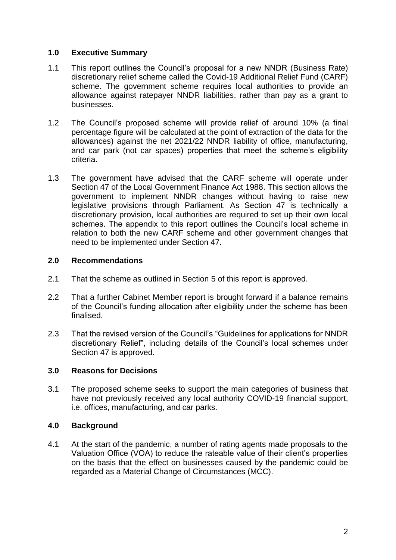### **1.0 Executive Summary**

- 1.1 This report outlines the Council's proposal for a new NNDR (Business Rate) discretionary relief scheme called the Covid-19 Additional Relief Fund (CARF) scheme. The government scheme requires local authorities to provide an allowance against ratepayer NNDR liabilities, rather than pay as a grant to businesses.
- 1.2 The Council's proposed scheme will provide relief of around 10% (a final percentage figure will be calculated at the point of extraction of the data for the allowances) against the net 2021/22 NNDR liability of office, manufacturing, and car park (not car spaces) properties that meet the scheme's eligibility criteria.
- 1.3 The government have advised that the CARF scheme will operate under Section 47 of the Local Government Finance Act 1988. This section allows the government to implement NNDR changes without having to raise new legislative provisions through Parliament. As Section 47 is technically a discretionary provision, local authorities are required to set up their own local schemes. The appendix to this report outlines the Council's local scheme in relation to both the new CARF scheme and other government changes that need to be implemented under Section 47.

### **2.0 Recommendations**

- 2.1 That the scheme as outlined in Section 5 of this report is approved.
- 2.2 That a further Cabinet Member report is brought forward if a balance remains of the Council's funding allocation after eligibility under the scheme has been finalised.
- 2.3 That the revised version of the Council's "Guidelines for applications for NNDR discretionary Relief", including details of the Council's local schemes under Section 47 is approved.

#### **3.0 Reasons for Decisions**

3.1 The proposed scheme seeks to support the main categories of business that have not previously received any local authority COVID-19 financial support, i.e. offices, manufacturing, and car parks.

# **4.0 Background**

4.1 At the start of the pandemic, a number of rating agents made proposals to the Valuation Office (VOA) to reduce the rateable value of their client's properties on the basis that the effect on businesses caused by the pandemic could be regarded as a Material Change of Circumstances (MCC).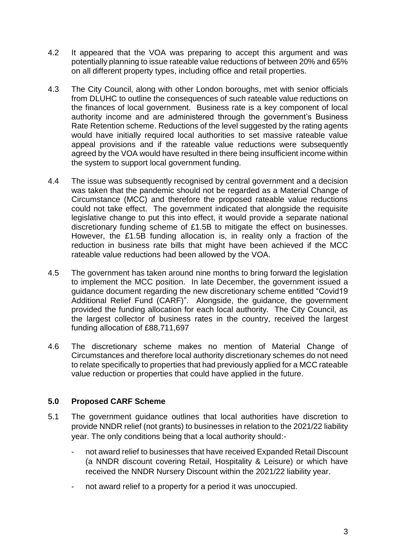- 4.2 It appeared that the VOA was preparing to accept this argument and was potentially planning to issue rateable value reductions of between 20% and 65% on all different property types, including office and retail properties.
- 4.3 The City Council, along with other London boroughs, met with senior officials from DLUHC to outline the consequences of such rateable value reductions on the finances of local government. Business rate is a key component of local authority income and are administered through the government's Business Rate Retention scheme. Reductions of the level suggested by the rating agents would have initially required local authorities to set massive rateable value appeal provisions and if the rateable value reductions were subsequently agreed by the VOA would have resulted in there being insufficient income within the system to support local government funding.
- 4.4 The issue was subsequently recognised by central government and a decision was taken that the pandemic should not be regarded as a Material Change of Circumstance (MCC) and therefore the proposed rateable value reductions could not take effect. The government indicated that alongside the requisite legislative change to put this into effect, it would provide a separate national discretionary funding scheme of £1.5B to mitigate the effect on businesses. However, the £1.5B funding allocation is, in reality only a fraction of the reduction in business rate bills that might have been achieved if the MCC rateable value reductions had been allowed by the VOA.
- 4.5 The government has taken around nine months to bring forward the legislation to implement the MCC position. In late December, the government issued a guidance document regarding the new discretionary scheme entitled "Covid19 Additional Relief Fund (CARF)". Alongside, the guidance, the government provided the funding allocation for each local authority. The City Council, as the largest collector of business rates in the country, received the largest funding allocation of £88,711,697
- 4.6 The discretionary scheme makes no mention of Material Change of Circumstances and therefore local authority discretionary schemes do not need to relate specifically to properties that had previously applied for a MCC rateable value reduction or properties that could have applied in the future.

# **5.0 Proposed CARF Scheme**

- 5.1 The government guidance outlines that local authorities have discretion to provide NNDR relief (not grants) to businesses in relation to the 2021/22 liability year. The only conditions being that a local authority should:-
	- not award relief to businesses that have received Expanded Retail Discount (a NNDR discount covering Retail, Hospitality & Leisure) or which have received the NNDR Nursery Discount within the 2021/22 liability year.
	- not award relief to a property for a period it was unoccupied.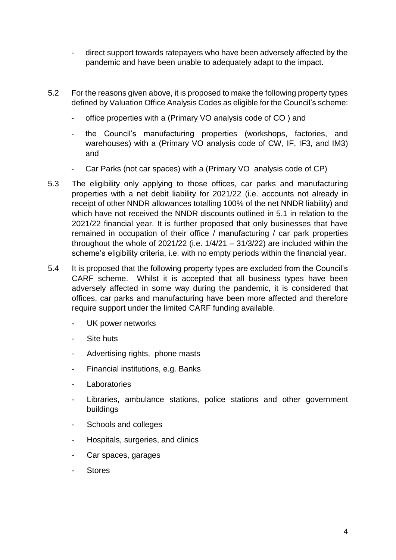- direct support towards ratepayers who have been adversely affected by the pandemic and have been unable to adequately adapt to the impact.
- 5.2 For the reasons given above, it is proposed to make the following property types defined by Valuation Office Analysis Codes as eligible for the Council's scheme:
	- office properties with a (Primary VO analysis code of CO) and
	- the Council's manufacturing properties (workshops, factories, and warehouses) with a (Primary VO analysis code of CW, IF, IF3, and IM3) and
	- Car Parks (not car spaces) with a (Primary VO analysis code of CP)
- 5.3 The eligibility only applying to those offices, car parks and manufacturing properties with a net debit liability for 2021/22 (i.e. accounts not already in receipt of other NNDR allowances totalling 100% of the net NNDR liability) and which have not received the NNDR discounts outlined in 5.1 in relation to the 2021/22 financial year. It is further proposed that only businesses that have remained in occupation of their office / manufacturing / car park properties throughout the whole of 2021/22 (i.e.  $1/4/21 - 31/3/22$ ) are included within the scheme's eligibility criteria, i.e. with no empty periods within the financial year.
- 5.4 It is proposed that the following property types are excluded from the Council's CARF scheme. Whilst it is accepted that all business types have been adversely affected in some way during the pandemic, it is considered that offices, car parks and manufacturing have been more affected and therefore require support under the limited CARF funding available.
	- UK power networks
	- Site huts
	- Advertising rights, phone masts
	- Financial institutions, e.g. Banks
	- Laboratories
	- Libraries, ambulance stations, police stations and other government buildings
	- Schools and colleges
	- Hospitals, surgeries, and clinics
	- Car spaces, garages
	- **Stores**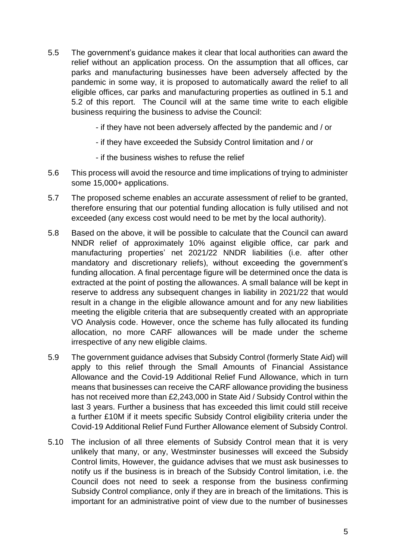- 5.5 The government's guidance makes it clear that local authorities can award the relief without an application process. On the assumption that all offices, car parks and manufacturing businesses have been adversely affected by the pandemic in some way, it is proposed to automatically award the relief to all eligible offices, car parks and manufacturing properties as outlined in 5.1 and 5.2 of this report. The Council will at the same time write to each eligible business requiring the business to advise the Council:
	- if they have not been adversely affected by the pandemic and / or
	- if they have exceeded the Subsidy Control limitation and / or
	- if the business wishes to refuse the relief
- 5.6 This process will avoid the resource and time implications of trying to administer some 15,000+ applications.
- 5.7 The proposed scheme enables an accurate assessment of relief to be granted, therefore ensuring that our potential funding allocation is fully utilised and not exceeded (any excess cost would need to be met by the local authority).
- 5.8 Based on the above, it will be possible to calculate that the Council can award NNDR relief of approximately 10% against eligible office, car park and manufacturing properties' net 2021/22 NNDR liabilities (i.e. after other mandatory and discretionary reliefs), without exceeding the government's funding allocation. A final percentage figure will be determined once the data is extracted at the point of posting the allowances. A small balance will be kept in reserve to address any subsequent changes in liability in 2021/22 that would result in a change in the eligible allowance amount and for any new liabilities meeting the eligible criteria that are subsequently created with an appropriate VO Analysis code. However, once the scheme has fully allocated its funding allocation, no more CARF allowances will be made under the scheme irrespective of any new eligible claims.
- 5.9 The government guidance advises that Subsidy Control (formerly State Aid) will apply to this relief through the Small Amounts of Financial Assistance Allowance and the Covid-19 Additional Relief Fund Allowance, which in turn means that businesses can receive the CARF allowance providing the business has not received more than £2,243,000 in State Aid / Subsidy Control within the last 3 years. Further a business that has exceeded this limit could still receive a further £10M if it meets specific Subsidy Control eligibility criteria under the Covid-19 Additional Relief Fund Further Allowance element of Subsidy Control.
- 5.10 The inclusion of all three elements of Subsidy Control mean that it is very unlikely that many, or any, Westminster businesses will exceed the Subsidy Control limits, However, the guidance advises that we must ask businesses to notify us if the business is in breach of the Subsidy Control limitation, i.e. the Council does not need to seek a response from the business confirming Subsidy Control compliance, only if they are in breach of the limitations. This is important for an administrative point of view due to the number of businesses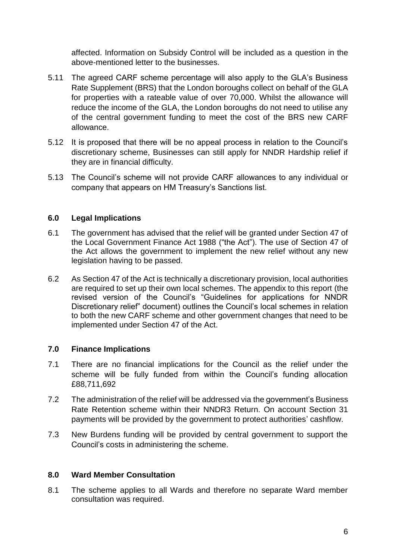affected. Information on Subsidy Control will be included as a question in the above-mentioned letter to the businesses.

- 5.11 The agreed CARF scheme percentage will also apply to the GLA's Business Rate Supplement (BRS) that the London boroughs collect on behalf of the GLA for properties with a rateable value of over 70,000. Whilst the allowance will reduce the income of the GLA, the London boroughs do not need to utilise any of the central government funding to meet the cost of the BRS new CARF allowance.
- 5.12 It is proposed that there will be no appeal process in relation to the Council's discretionary scheme, Businesses can still apply for NNDR Hardship relief if they are in financial difficulty.
- 5.13 The Council's scheme will not provide CARF allowances to any individual or company that appears on HM Treasury's Sanctions list.

# **6.0 Legal Implications**

- 6.1 The government has advised that the relief will be granted under Section 47 of the Local Government Finance Act 1988 ("the Act"). The use of Section 47 of the Act allows the government to implement the new relief without any new legislation having to be passed.
- 6.2 As Section 47 of the Act is technically a discretionary provision, local authorities are required to set up their own local schemes. The appendix to this report (the revised version of the Council's "Guidelines for applications for NNDR Discretionary relief" document) outlines the Council's local schemes in relation to both the new CARF scheme and other government changes that need to be implemented under Section 47 of the Act.

# **7.0 Finance Implications**

- 7.1 There are no financial implications for the Council as the relief under the scheme will be fully funded from within the Council's funding allocation £88,711,692
- 7.2 The administration of the relief will be addressed via the government's Business Rate Retention scheme within their NNDR3 Return. On account Section 31 payments will be provided by the government to protect authorities' cashflow.
- 7.3 New Burdens funding will be provided by central government to support the Council's costs in administering the scheme.

#### **8.0 Ward Member Consultation**

8.1 The scheme applies to all Wards and therefore no separate Ward member consultation was required.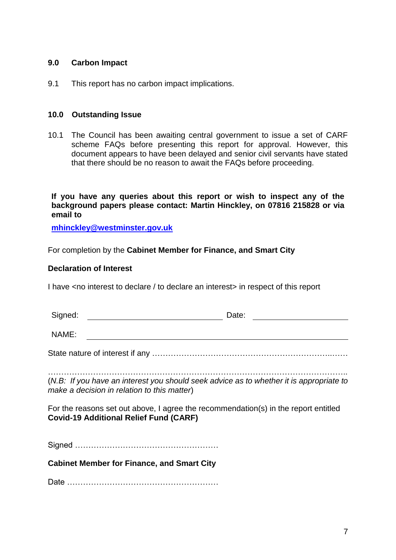#### **9.0 Carbon Impact**

9.1 This report has no carbon impact implications.

#### **10.0 Outstanding Issue**

10.1 The Council has been awaiting central government to issue a set of CARF scheme FAQs before presenting this report for approval. However, this document appears to have been delayed and senior civil servants have stated that there should be no reason to await the FAQs before proceeding.

**If you have any queries about this report or wish to inspect any of the background papers please contact: Martin Hinckley, on 07816 215828 or via email to**

**[mhinckley@westminster.gov.uk](mailto:mhinckley@westminster.gov.uk)**

For completion by the **Cabinet Member for Finance, and Smart City**

#### **Declaration of Interest**

I have <no interest to declare / to declare an interest> in respect of this report

| Signed: | Date:                                                                                                                                  |
|---------|----------------------------------------------------------------------------------------------------------------------------------------|
| NAME:   |                                                                                                                                        |
|         |                                                                                                                                        |
|         | (N.B: If you have an interest you should seek advice as to whether it is appropriate to<br>make a decision in relation to this matter) |
|         | For the reasons set out above, I agree the recommendation(s) in the report entitled<br><b>Covid-19 Additional Relief Fund (CARF)</b>   |
|         |                                                                                                                                        |
|         | <b>Cabinet Member for Finance, and Smart City</b>                                                                                      |
|         |                                                                                                                                        |